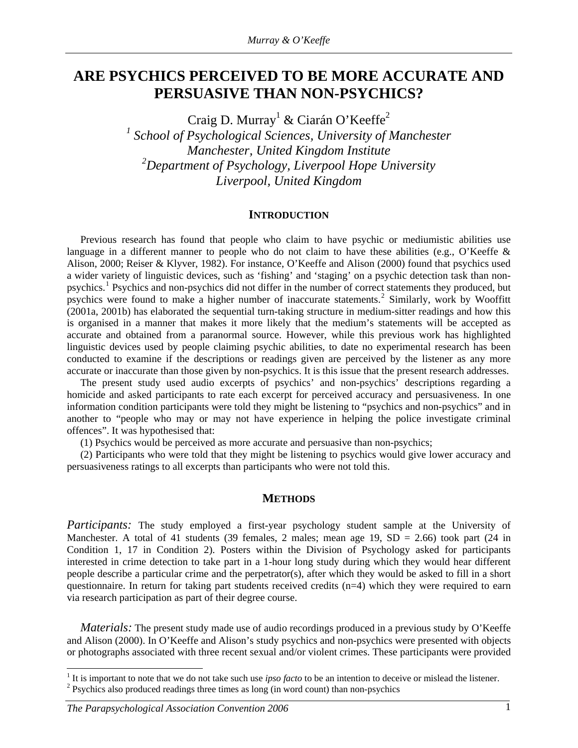# **ARE PSYCHICS PERCEIVED TO BE MORE ACCURATE AND PERSUASIVE THAN NON-PSYCHICS?**

Craig D. Murray<sup>1</sup> & Ciarán O'Keeffe<sup>2</sup> <sup>1</sup> School of Psychological Sciences, University of Manchester *Manchester, United Kingdom Institute 2 Department of Psychology, Liverpool Hope University Liverpool, United Kingdom* 

#### **INTRODUCTION**

Previous research has found that people who claim to have psychic or mediumistic abilities use language in a different manner to people who do not claim to have these abilities (e.g., O'Keeffe & Alison, 2000; Reiser & Klyver, 1982). For instance, O'Keeffe and Alison (2000) found that psychics used a wider variety of linguistic devices, such as 'fishing' and 'staging' on a psychic detection task than non-psychics.<sup>[1](#page-0-0)</sup> Psychics and non-psychics did not differ in the number of correct statements they produced, but psychics were found to make a higher number of inaccurate statements.<sup>[2](#page-0-1)</sup> Similarly, work by Wooffitt (2001a, 2001b) has elaborated the sequential turn-taking structure in medium-sitter readings and how this is organised in a manner that makes it more likely that the medium's statements will be accepted as accurate and obtained from a paranormal source. However, while this previous work has highlighted linguistic devices used by people claiming psychic abilities, to date no experimental research has been conducted to examine if the descriptions or readings given are perceived by the listener as any more accurate or inaccurate than those given by non-psychics. It is this issue that the present research addresses.

The present study used audio excerpts of psychics' and non-psychics' descriptions regarding a homicide and asked participants to rate each excerpt for perceived accuracy and persuasiveness. In one information condition participants were told they might be listening to "psychics and non-psychics" and in another to "people who may or may not have experience in helping the police investigate criminal offences". It was hypothesised that:

(1) Psychics would be perceived as more accurate and persuasive than non-psychics;

(2) Participants who were told that they might be listening to psychics would give lower accuracy and persuasiveness ratings to all excerpts than participants who were not told this.

### **METHODS**

*Participants:* The study employed a first-year psychology student sample at the University of Manchester. A total of 41 students (39 females, 2 males; mean age 19,  $SD = 2.66$ ) took part (24 in Condition 1, 17 in Condition 2). Posters within the Division of Psychology asked for participants interested in crime detection to take part in a 1-hour long study during which they would hear different people describe a particular crime and the perpetrator(s), after which they would be asked to fill in a short questionnaire. In return for taking part students received credits (n=4) which they were required to earn via research participation as part of their degree course.

*Materials:* The present study made use of audio recordings produced in a previous study by O'Keeffe and Alison (2000). In O'Keeffe and Alison's study psychics and non-psychics were presented with objects or photographs associated with three recent sexual and/or violent crimes. These participants were provided

 $\overline{a}$ 

<span id="page-0-1"></span><span id="page-0-0"></span><sup>&</sup>lt;sup>1</sup> It is important to note that we do not take such use *ipso facto* to be an intention to deceive or mislead the listener.  $2$  Psychics also produced readings three times as long (in word count) than non-psychics

*The Parapsychological Association Convention 2006* 1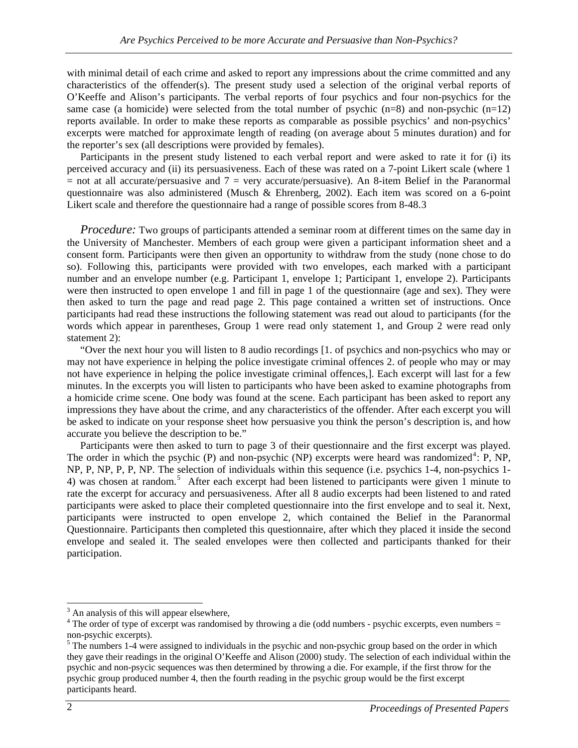with minimal detail of each crime and asked to report any impressions about the crime committed and any characteristics of the offender(s). The present study used a selection of the original verbal reports of O'Keeffe and Alison's participants. The verbal reports of four psychics and four non-psychics for the same case (a homicide) were selected from the total number of psychic  $(n=8)$  and non-psychic  $(n=12)$ reports available. In order to make these reports as comparable as possible psychics' and non-psychics' excerpts were matched for approximate length of reading (on average about 5 minutes duration) and for the reporter's sex (all descriptions were provided by females).

Participants in the present study listened to each verbal report and were asked to rate it for (i) its perceived accuracy and (ii) its persuasiveness. Each of these was rated on a 7-point Likert scale (where 1  $=$  not at all accurate/persuasive and  $7 =$  very accurate/persuasive). An 8-item Belief in the Paranormal questionnaire was also administered (Musch & Ehrenberg, 2002). Each item was scored on a 6-point Likert scale and therefore the questionnaire had a range of possible scores from 8-48[.3](#page-1-0)

*Procedure:* Two groups of participants attended a seminar room at different times on the same day in the University of Manchester. Members of each group were given a participant information sheet and a consent form. Participants were then given an opportunity to withdraw from the study (none chose to do so). Following this, participants were provided with two envelopes, each marked with a participant number and an envelope number (e.g. Participant 1, envelope 1; Participant 1, envelope 2). Participants were then instructed to open envelope 1 and fill in page 1 of the questionnaire (age and sex). They were then asked to turn the page and read page 2. This page contained a written set of instructions. Once participants had read these instructions the following statement was read out aloud to participants (for the words which appear in parentheses, Group 1 were read only statement 1, and Group 2 were read only statement 2):

"Over the next hour you will listen to 8 audio recordings [1. of psychics and non-psychics who may or may not have experience in helping the police investigate criminal offences 2. of people who may or may not have experience in helping the police investigate criminal offences,]. Each excerpt will last for a few minutes. In the excerpts you will listen to participants who have been asked to examine photographs from a homicide crime scene. One body was found at the scene. Each participant has been asked to report any impressions they have about the crime, and any characteristics of the offender. After each excerpt you will be asked to indicate on your response sheet how persuasive you think the person's description is, and how accurate you believe the description to be."

Participants were then asked to turn to page 3 of their questionnaire and the first excerpt was played. The order in which the psychic (P) and non-psychic (NP) excerpts were heard was randomized<sup>[4](#page-1-1)</sup>: P, NP, NP, P, NP, P, P, NP. The selection of individuals within this sequence (i.e. psychics 1-4, non-psychics 1- 4) was chosen at random.<sup>[5](#page-1-2)</sup> After each excerpt had been listened to participants were given 1 minute to rate the excerpt for accuracy and persuasiveness. After all 8 audio excerpts had been listened to and rated participants were asked to place their completed questionnaire into the first envelope and to seal it. Next, participants were instructed to open envelope 2, which contained the Belief in the Paranormal Questionnaire. Participants then completed this questionnaire, after which they placed it inside the second envelope and sealed it. The sealed envelopes were then collected and participants thanked for their participation.

 $\overline{a}$ 

 $3$  An analysis of this will appear elsewhere,

<span id="page-1-1"></span><span id="page-1-0"></span><sup>&</sup>lt;sup>3</sup> An analysis of this will appear elsewhere,<br><sup>4</sup> The order of type of excerpt was randomised by throwing a die (odd numbers - psychic excerpts, even numbers = non-psychic excerpts).

<span id="page-1-2"></span> $<sup>5</sup>$  The numbers 1-4 were assigned to individuals in the psychic and non-psychic group based on the order in which</sup> they gave their readings in the original O'Keeffe and Alison (2000) study. The selection of each individual within the psychic and non-psycic sequences was then determined by throwing a die. For example, if the first throw for the psychic group produced number 4, then the fourth reading in the psychic group would be the first excerpt participants heard.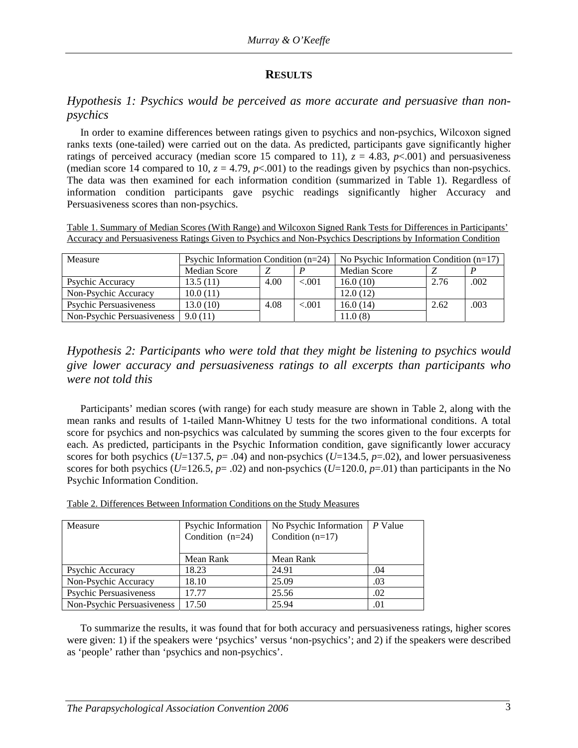### **RESULTS**

## *Hypothesis 1: Psychics would be perceived as more accurate and persuasive than nonpsychics*

In order to examine differences between ratings given to psychics and non-psychics, Wilcoxon signed ranks texts (one-tailed) were carried out on the data. As predicted, participants gave significantly higher ratings of perceived accuracy (median score 15 compared to 11),  $z = 4.83$ ,  $p < .001$ ) and persuasiveness (median score 14 compared to 10,  $z = 4.79$ ,  $p < .001$ ) to the readings given by psychics than non-psychics. The data was then examined for each information condition (summarized in Table 1). Regardless of information condition participants gave psychic readings significantly higher Accuracy and Persuasiveness scores than non-psychics.

Table 1. Summary of Median Scores (With Range) and Wilcoxon Signed Rank Tests for Differences in Participants' Accuracy and Persuasiveness Ratings Given to Psychics and Non-Psychics Descriptions by Information Condition

| Measure                       | Psychic Information Condition $(n=24)$ |      | No Psychic Information Condition $(n=17)$ |              |      |      |
|-------------------------------|----------------------------------------|------|-------------------------------------------|--------------|------|------|
|                               | Median Score                           | Ζ    |                                           | Median Score |      |      |
| Psychic Accuracy              | 13.5 (11)                              | 4.00 | < 0.01                                    | 16.0(10)     | 2.76 | .002 |
| Non-Psychic Accuracy          | 10.0(11)                               |      |                                           | 12.0(12)     |      |      |
| <b>Psychic Persuasiveness</b> | 13.0(10)                               | 4.08 | < 0.01                                    | 16.0(14)     | 2.62 | .003 |
| Non-Psychic Persuasiveness    | 9.0(11)                                |      |                                           | 11.0 (8)     |      |      |

*Hypothesis 2: Participants who were told that they might be listening to psychics would give lower accuracy and persuasiveness ratings to all excerpts than participants who were not told this* 

Participants' median scores (with range) for each study measure are shown in Table 2, along with the mean ranks and results of 1-tailed Mann-Whitney U tests for the two informational conditions. A total score for psychics and non-psychics was calculated by summing the scores given to the four excerpts for each. As predicted, participants in the Psychic Information condition, gave significantly lower accuracy scores for both psychics ( $U=137.5$ ,  $p=.04$ ) and non-psychics ( $U=134.5$ ,  $p=.02$ ), and lower persuasiveness scores for both psychics ( $U=126.5$ ,  $p=.02$ ) and non-psychics ( $U=120.0$ ,  $p=.01$ ) than participants in the No Psychic Information Condition.

| Measure                       | Psychic Information<br>Condition $(n=24)$ | No Psychic Information<br>Condition $(n=17)$ | P Value |
|-------------------------------|-------------------------------------------|----------------------------------------------|---------|
|                               | Mean Rank                                 | Mean Rank                                    |         |
| Psychic Accuracy              | 18.23                                     | 24.91                                        | .04     |
| Non-Psychic Accuracy          | 18.10                                     | 25.09                                        | .03     |
| <b>Psychic Persuasiveness</b> | 17.77                                     | 25.56                                        | .02     |
| Non-Psychic Persuasiveness    | 17.50                                     | 25.94                                        | .01     |

Table 2. Differences Between Information Conditions on the Study Measures

To summarize the results, it was found that for both accuracy and persuasiveness ratings, higher scores were given: 1) if the speakers were 'psychics' versus 'non-psychics'; and 2) if the speakers were described as 'people' rather than 'psychics and non-psychics'.